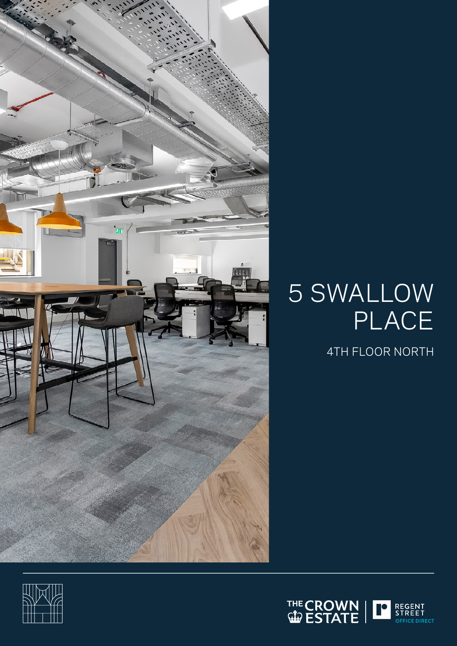

# 5 SWALLOW PLACE

4TH FLOOR NORTH